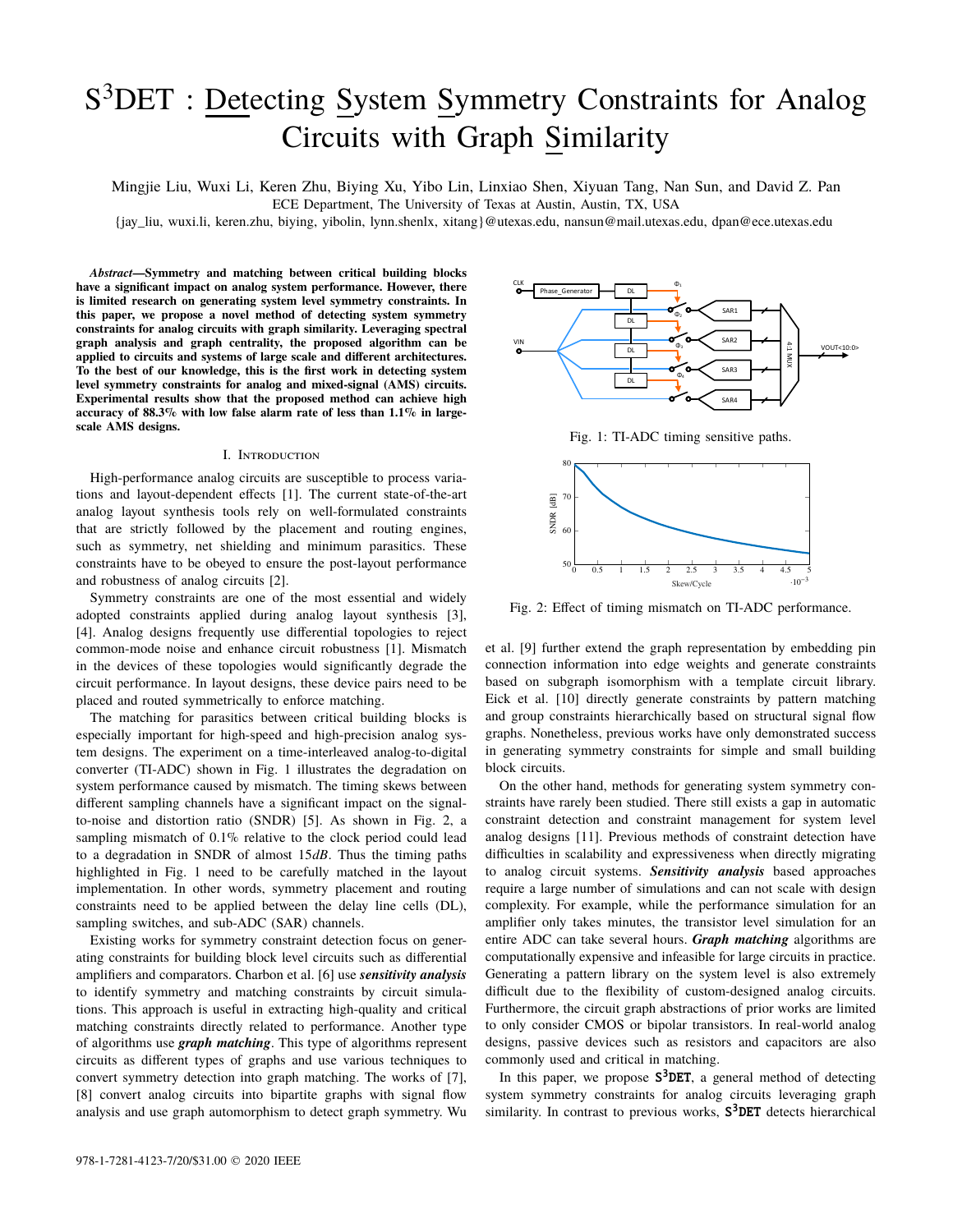# S<sup>3</sup>DET : Detecting System Symmetry Constraints for Analog Circuits with Graph Similarity

Mingjie Liu, Wuxi Li, Keren Zhu, Biying Xu, Yibo Lin, Linxiao Shen, Xiyuan Tang, Nan Sun, and David Z. Pan

ECE Department, The University of Texas at Austin, Austin, TX, USA

{jay\_liu, wuxi.li, keren.zhu, biying, yibolin, lynn.shenlx, xitang}@utexas.edu, nansun@mail.utexas.edu, dpan@ece.utexas.edu

*Abstract***—Symmetry and matching between critical building blocks have a significant impact on analog system performance. However, there is limited research on generating system level symmetry constraints. In this paper, we propose a novel method of detecting system symmetry constraints for analog circuits with graph similarity. Leveraging spectral graph analysis and graph centrality, the proposed algorithm can be applied to circuits and systems of large scale and different architectures. To the best of our knowledge, this is the first work in detecting system level symmetry constraints for analog and mixed-signal (AMS) circuits. Experimental results show that the proposed method can achieve high accuracy of 88.3% with low false alarm rate of less than 1.1% in largescale AMS designs.**

### I. Introduction

High-performance analog circuits are susceptible to process variations and layout-dependent effects [1]. The current state-of-the-art analog layout synthesis tools rely on well-formulated constraints that are strictly followed by the placement and routing engines, such as symmetry, net shielding and minimum parasitics. These constraints have to be obeyed to ensure the post-layout performance and robustness of analog circuits [2].

Symmetry constraints are one of the most essential and widely adopted constraints applied during analog layout synthesis [3], [4]. Analog designs frequently use differential topologies to reject common-mode noise and enhance circuit robustness [1]. Mismatch in the devices of these topologies would significantly degrade the circuit performance. In layout designs, these device pairs need to be placed and routed symmetrically to enforce matching.

The matching for parasitics between critical building blocks is especially important for high-speed and high-precision analog system designs. The experiment on a time-interleaved analog-to-digital converter (TI-ADC) shown in Fig. 1 illustrates the degradation on system performance caused by mismatch. The timing skews between different sampling channels have a significant impact on the signalto-noise and distortion ratio (SNDR) [5]. As shown in Fig. 2, a sampling mismatch of 0.1% relative to the clock period could lead to a degradation in SNDR of almost 15*dB*. Thus the timing paths highlighted in Fig. 1 need to be carefully matched in the layout implementation. In other words, symmetry placement and routing constraints need to be applied between the delay line cells (DL), sampling switches, and sub-ADC (SAR) channels.

Existing works for symmetry constraint detection focus on generating constraints for building block level circuits such as differential amplifiers and comparators. Charbon et al. [6] use *sensitivity analysis* to identify symmetry and matching constraints by circuit simulations. This approach is useful in extracting high-quality and critical matching constraints directly related to performance. Another type of algorithms use *graph matching*. This type of algorithms represent circuits as different types of graphs and use various techniques to convert symmetry detection into graph matching. The works of [7], [8] convert analog circuits into bipartite graphs with signal flow analysis and use graph automorphism to detect graph symmetry. Wu



Fig. 1: TI-ADC timing sensitive paths.



Fig. 2: Effect of timing mismatch on TI-ADC performance.

et al. [9] further extend the graph representation by embedding pin connection information into edge weights and generate constraints based on subgraph isomorphism with a template circuit library. Eick et al. [10] directly generate constraints by pattern matching and group constraints hierarchically based on structural signal flow graphs. Nonetheless, previous works have only demonstrated success in generating symmetry constraints for simple and small building block circuits.

On the other hand, methods for generating system symmetry constraints have rarely been studied. There still exists a gap in automatic constraint detection and constraint management for system level analog designs [11]. Previous methods of constraint detection have difficulties in scalability and expressiveness when directly migrating to analog circuit systems. *Sensitivity analysis* based approaches require a large number of simulations and can not scale with design complexity. For example, while the performance simulation for an amplifier only takes minutes, the transistor level simulation for an entire ADC can take several hours. *Graph matching* algorithms are computationally expensive and infeasible for large circuits in practice. Generating a pattern library on the system level is also extremely difficult due to the flexibility of custom-designed analog circuits. Furthermore, the circuit graph abstractions of prior works are limited to only consider CMOS or bipolar transistors. In real-world analog designs, passive devices such as resistors and capacitors are also commonly used and critical in matching.

In this paper, we propose  $S^3$ DET, a general method of detecting system symmetry constraints for analog circuits leveraging graph similarity. In contrast to previous works,  $S^3$ DET detects hierarchical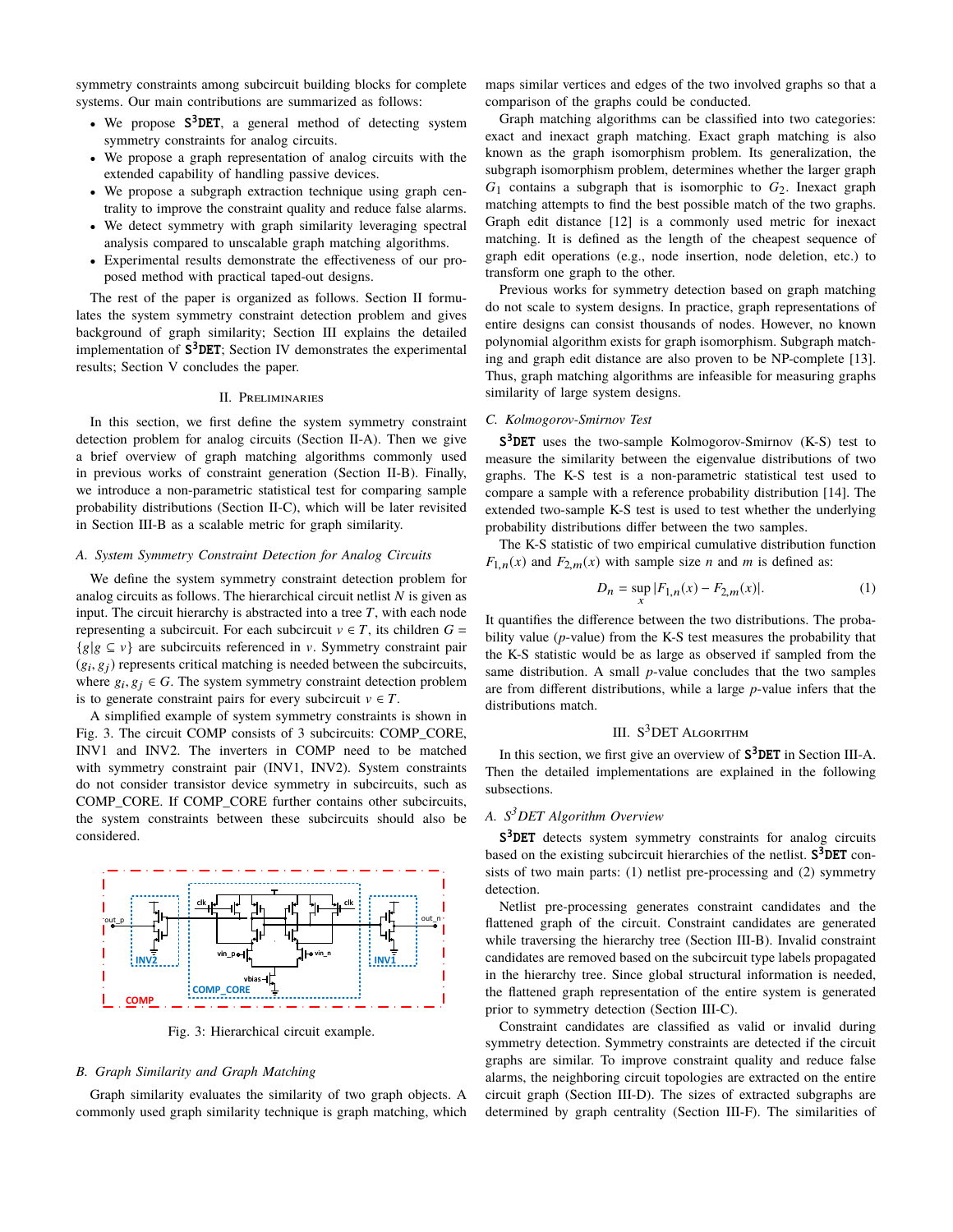symmetry constraints among subcircuit building blocks for complete systems. Our main contributions are summarized as follows:

- We propose S<sup>3</sup>DET, a general method of detecting system symmetry constraints for analog circuits.
- We propose a graph representation of analog circuits with the extended capability of handling passive devices.
- We propose a subgraph extraction technique using graph centrality to improve the constraint quality and reduce false alarms.
- We detect symmetry with graph similarity leveraging spectral analysis compared to unscalable graph matching algorithms.
- Experimental results demonstrate the effectiveness of our proposed method with practical taped-out designs.

The rest of the paper is organized as follows. Section II formulates the system symmetry constraint detection problem and gives background of graph similarity; Section III explains the detailed implementation of S<sup>3</sup>DET; Section IV demonstrates the experimental results; Section V concludes the paper.

### II. Preliminaries

In this section, we first define the system symmetry constraint detection problem for analog circuits (Section II-A). Then we give a brief overview of graph matching algorithms commonly used in previous works of constraint generation (Section II-B). Finally, we introduce a non-parametric statistical test for comparing sample probability distributions (Section II-C), which will be later revisited in Section III-B as a scalable metric for graph similarity.

# *A. System Symmetry Constraint Detection for Analog Circuits*

We define the system symmetry constraint detection problem for analog circuits as follows. The hierarchical circuit netlist *N* is given as input. The circuit hierarchy is abstracted into a tree  $T$ , with each node representing a subcircuit. For each subcircuit  $v \in T$ , its children  $G =$  ${g|g \subseteq v}$  are subcircuits referenced in v. Symmetry constraint pair  $(g_i, g_j)$  represents critical matching is needed between the subcircuits,<br>where  $g_i, g_j \in G$ . The system symmetry constraint detection problem where  $g_i, g_j \in G$ . The system symmetry constraint detection problem<br>is to generate constraint pairs for every subcircuit  $v \in T$ . is to generate constraint pairs for every subcircuit  $v \in T$ .

A simplified example of system symmetry constraints is shown in Fig. 3. The circuit COMP consists of 3 subcircuits: COMP\_CORE, INV1 and INV2. The inverters in COMP need to be matched with symmetry constraint pair (INV1, INV2). System constraints do not consider transistor device symmetry in subcircuits, such as COMP\_CORE. If COMP\_CORE further contains other subcircuits, the system constraints between these subcircuits should also be considered.



Fig. 3: Hierarchical circuit example.

### *B. Graph Similarity and Graph Matching*

Graph similarity evaluates the similarity of two graph objects. A commonly used graph similarity technique is graph matching, which maps similar vertices and edges of the two involved graphs so that a comparison of the graphs could be conducted.

Graph matching algorithms can be classified into two categories: exact and inexact graph matching. Exact graph matching is also known as the graph isomorphism problem. Its generalization, the subgraph isomorphism problem, determines whether the larger graph  $G_1$  contains a subgraph that is isomorphic to  $G_2$ . Inexact graph matching attempts to find the best possible match of the two graphs. Graph edit distance [12] is a commonly used metric for inexact matching. It is defined as the length of the cheapest sequence of graph edit operations (e.g., node insertion, node deletion, etc.) to transform one graph to the other.

Previous works for symmetry detection based on graph matching do not scale to system designs. In practice, graph representations of entire designs can consist thousands of nodes. However, no known polynomial algorithm exists for graph isomorphism. Subgraph matching and graph edit distance are also proven to be NP-complete [13]. Thus, graph matching algorithms are infeasible for measuring graphs similarity of large system designs.

## *C. Kolmogorov-Smirnov Test*

S<sup>3</sup>DET uses the two-sample Kolmogorov-Smirnov (K-S) test to measure the similarity between the eigenvalue distributions of two graphs. The K-S test is a non-parametric statistical test used to compare a sample with a reference probability distribution [14]. The extended two-sample K-S test is used to test whether the underlying probability distributions differ between the two samples.

The K-S statistic of two empirical cumulative distribution function  $F_{1,n}(x)$  and  $F_{2,m}(x)$  with sample size *n* and *m* is defined as:

$$
D_n = \sup_x |F_{1,n}(x) - F_{2,m}(x)|. \tag{1}
$$

It quantifies the difference between the two distributions. The probability value (*p*-value) from the K-S test measures the probability that the K-S statistic would be as large as observed if sampled from the same distribution. A small *p*-value concludes that the two samples are from different distributions, while a large *p*-value infers that the distributions match.

## III.  $S^3$ DET ALGORITHM

In this section, we first give an overview of  $S^3$ DET in Section III-A. Then the detailed implementations are explained in the following subsections.

## *A. S3DET Algorithm Overview*

S<sup>3</sup>DET detects system symmetry constraints for analog circuits based on the existing subcircuit hierarchies of the netlist.  $S^3$ DET consists of two main parts: (1) netlist pre-processing and (2) symmetry detection.

Netlist pre-processing generates constraint candidates and the flattened graph of the circuit. Constraint candidates are generated while traversing the hierarchy tree (Section III-B). Invalid constraint candidates are removed based on the subcircuit type labels propagated in the hierarchy tree. Since global structural information is needed, the flattened graph representation of the entire system is generated prior to symmetry detection (Section III-C).

Constraint candidates are classified as valid or invalid during symmetry detection. Symmetry constraints are detected if the circuit graphs are similar. To improve constraint quality and reduce false alarms, the neighboring circuit topologies are extracted on the entire circuit graph (Section III-D). The sizes of extracted subgraphs are determined by graph centrality (Section III-F). The similarities of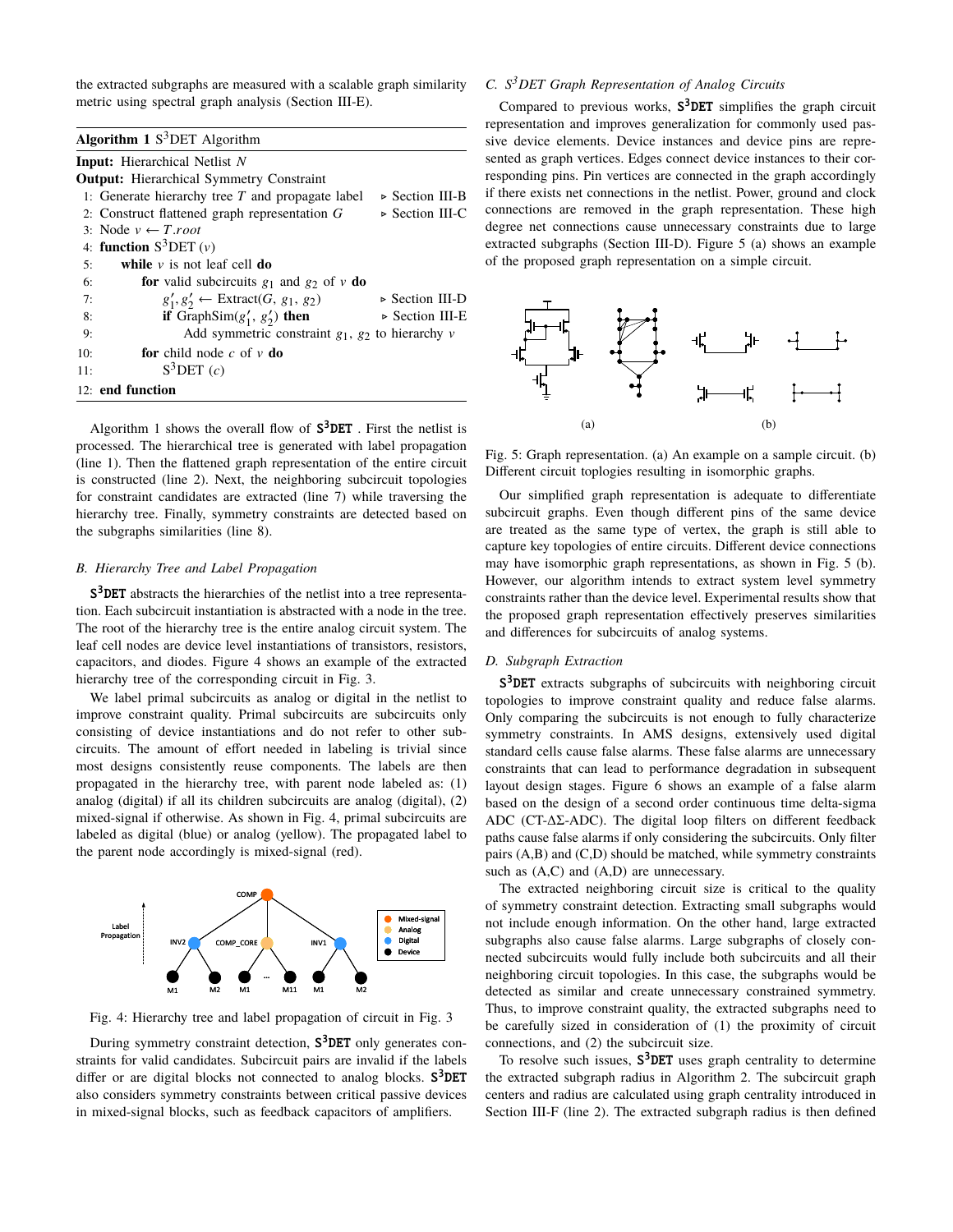the extracted subgraphs are measured with a scalable graph similarity metric using spectral graph analysis (Section III-E).

| <b>Algorithm 1</b> $S^3$ DET Algorithm                                                  |
|-----------------------------------------------------------------------------------------|
| <b>Input:</b> Hierarchical Netlist N                                                    |
| <b>Output:</b> Hierarchical Symmetry Constraint                                         |
| 1: Generate hierarchy tree $T$ and propagate label<br>⊳ Section III-B                   |
| 2: Construct flattened graph representation $G$<br>$\triangleright$ Section III-C       |
| 3: Node $v \leftarrow T$ root                                                           |
| 4: function $S^3$ DET $(v)$                                                             |
| while $\nu$ is not leaf cell do<br>5:                                                   |
| <b>for</b> valid subcircuits $g_1$ and $g_2$ of v <b>do</b><br>6:                       |
| $g'_1, g'_2 \leftarrow$ Extract(G, $g_1, g_2$ )<br>$\triangleright$ Section III-D<br>7: |
| if GraphSim( $g'_1$ , $g'_2$ ) then<br>$\triangleright$ Section III-E<br>8:             |
| Add symmetric constraint $g_1$ , $g_2$ to hierarchy v<br>9:                             |
| <b>for</b> child node c of $\nu$ <b>do</b><br>10:                                       |
| $S^3$ DET $(c)$<br>11:                                                                  |
| 12: end function                                                                        |

Algorithm 1 shows the overall flow of  $S^3$ DET. First the netlist is processed. The hierarchical tree is generated with label propagation (line 1). Then the flattened graph representation of the entire circuit is constructed (line 2). Next, the neighboring subcircuit topologies for constraint candidates are extracted (line 7) while traversing the hierarchy tree. Finally, symmetry constraints are detected based on the subgraphs similarities (line 8).

## *B. Hierarchy Tree and Label Propagation*

S<sup>3</sup>DET abstracts the hierarchies of the netlist into a tree representation. Each subcircuit instantiation is abstracted with a node in the tree. The root of the hierarchy tree is the entire analog circuit system. The leaf cell nodes are device level instantiations of transistors, resistors, capacitors, and diodes. Figure 4 shows an example of the extracted hierarchy tree of the corresponding circuit in Fig. 3.

We label primal subcircuits as analog or digital in the netlist to improve constraint quality. Primal subcircuits are subcircuits only consisting of device instantiations and do not refer to other subcircuits. The amount of effort needed in labeling is trivial since most designs consistently reuse components. The labels are then propagated in the hierarchy tree, with parent node labeled as: (1) analog (digital) if all its children subcircuits are analog (digital), (2) mixed-signal if otherwise. As shown in Fig. 4, primal subcircuits are labeled as digital (blue) or analog (yellow). The propagated label to the parent node accordingly is mixed-signal (red).



Fig. 4: Hierarchy tree and label propagation of circuit in Fig. 3

During symmetry constraint detection, S<sup>3</sup>DET only generates constraints for valid candidates. Subcircuit pairs are invalid if the labels differ or are digital blocks not connected to analog blocks. S<sup>3</sup>DET also considers symmetry constraints between critical passive devices in mixed-signal blocks, such as feedback capacitors of amplifiers.

# *C. S3DET Graph Representation of Analog Circuits*

Compared to previous works,  $S^3$ DET simplifies the graph circuit representation and improves generalization for commonly used passive device elements. Device instances and device pins are represented as graph vertices. Edges connect device instances to their corresponding pins. Pin vertices are connected in the graph accordingly if there exists net connections in the netlist. Power, ground and clock connections are removed in the graph representation. These high degree net connections cause unnecessary constraints due to large extracted subgraphs (Section III-D). Figure 5 (a) shows an example of the proposed graph representation on a simple circuit.



Fig. 5: Graph representation. (a) An example on a sample circuit. (b) Different circuit toplogies resulting in isomorphic graphs.

Our simplified graph representation is adequate to differentiate subcircuit graphs. Even though different pins of the same device are treated as the same type of vertex, the graph is still able to capture key topologies of entire circuits. Different device connections may have isomorphic graph representations, as shown in Fig. 5 (b). However, our algorithm intends to extract system level symmetry constraints rather than the device level. Experimental results show that the proposed graph representation effectively preserves similarities and differences for subcircuits of analog systems.

## *D. Subgraph Extraction*

S<sup>3</sup>DET extracts subgraphs of subcircuits with neighboring circuit topologies to improve constraint quality and reduce false alarms. Only comparing the subcircuits is not enough to fully characterize symmetry constraints. In AMS designs, extensively used digital standard cells cause false alarms. These false alarms are unnecessary constraints that can lead to performance degradation in subsequent layout design stages. Figure 6 shows an example of a false alarm based on the design of a second order continuous time delta-sigma ADC (CT-∆Σ-ADC). The digital loop filters on different feedback paths cause false alarms if only considering the subcircuits. Only filter pairs (A,B) and (C,D) should be matched, while symmetry constraints such as  $(A,C)$  and  $(A,D)$  are unnecessary.

The extracted neighboring circuit size is critical to the quality of symmetry constraint detection. Extracting small subgraphs would not include enough information. On the other hand, large extracted subgraphs also cause false alarms. Large subgraphs of closely connected subcircuits would fully include both subcircuits and all their neighboring circuit topologies. In this case, the subgraphs would be detected as similar and create unnecessary constrained symmetry. Thus, to improve constraint quality, the extracted subgraphs need to be carefully sized in consideration of (1) the proximity of circuit connections, and (2) the subcircuit size.

To resolve such issues,  $S^3$ DET uses graph centrality to determine the extracted subgraph radius in Algorithm 2. The subcircuit graph centers and radius are calculated using graph centrality introduced in Section III-F (line 2). The extracted subgraph radius is then defined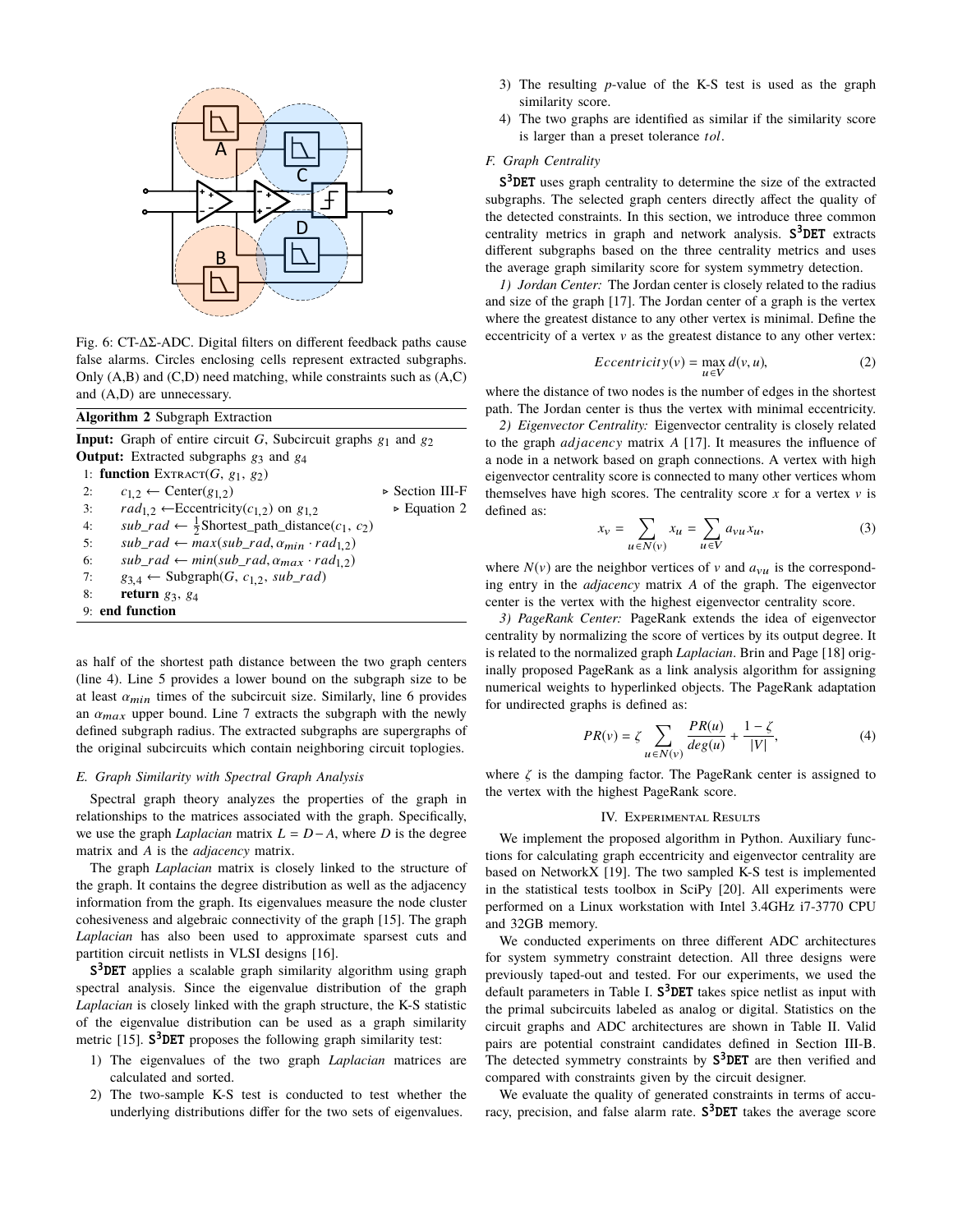

Fig. 6: CT-∆Σ-ADC. Digital filters on different feedback paths cause false alarms. Circles enclosing cells represent extracted subgraphs. Only  $(A,B)$  and  $(C,D)$  need matching, while constraints such as  $(A,C)$ and (A,D) are unnecessary.

| <b>Algorithm 2 Subgraph Extraction</b>                                                           |                                |
|--------------------------------------------------------------------------------------------------|--------------------------------|
| <b>Input:</b> Graph of entire circuit G, Subcircuit graphs $g_1$ and $g_2$                       |                                |
| <b>Output:</b> Extracted subgraphs $g_3$ and $g_4$                                               |                                |
| 1: function EXTRACT $(G, g_1, g_2)$                                                              |                                |
| $c_{1,2} \leftarrow$ Center( $g_{1,2}$ )<br>2:                                                   | $\triangleright$ Section III-F |
| $rad_{1,2} \leftarrow$ Eccentricity( $c_{1,2}$ ) on $g_{1,2}$<br>3:                              | $\triangleright$ Equation 2    |
| $sub\_rad \leftarrow \frac{1}{2}$ Shortest_path_distance(c <sub>1</sub> , c <sub>2</sub> )<br>4: |                                |
| $sub\_rad \leftarrow max(sub\_rad, \alpha_{min} \cdot rad_{1,2})$<br>5:                          |                                |
| $sub\_rad \leftarrow min(sub\_rad, \alpha_{max} \cdot rad_{1,2})$<br>6:                          |                                |
| $g_{3,4} \leftarrow$ Subgraph(G, $c_{1,2}$ , sub_rad)<br>7:                                      |                                |
| return $g_3$ , $g_4$<br>8:                                                                       |                                |
| 9: end function                                                                                  |                                |

as half of the shortest path distance between the two graph centers (line 4). Line 5 provides a lower bound on the subgraph size to be at least  $\alpha_{min}$  times of the subcircuit size. Similarly, line 6 provides an  $\alpha_{max}$  upper bound. Line 7 extracts the subgraph with the newly defined subgraph radius. The extracted subgraphs are supergraphs of the original subcircuits which contain neighboring circuit toplogies.

# *E. Graph Similarity with Spectral Graph Analysis*

Spectral graph theory analyzes the properties of the graph in relationships to the matrices associated with the graph. Specifically, we use the graph *Laplacian* matrix  $L = D - A$ , where *D* is the degree matrix and *A* is the *adjacency* matrix.

The graph *Laplacian* matrix is closely linked to the structure of the graph. It contains the degree distribution as well as the adjacency information from the graph. Its eigenvalues measure the node cluster cohesiveness and algebraic connectivity of the graph [15]. The graph *Laplacian* has also been used to approximate sparsest cuts and partition circuit netlists in VLSI designs [16].

S<sup>3</sup>DET applies a scalable graph similarity algorithm using graph spectral analysis. Since the eigenvalue distribution of the graph *Laplacian* is closely linked with the graph structure, the K-S statistic of the eigenvalue distribution can be used as a graph similarity metric  $[15]$ . S<sup>3</sup>DET proposes the following graph similarity test:

- 1) The eigenvalues of the two graph *Laplacian* matrices are calculated and sorted.
- 2) The two-sample K-S test is conducted to test whether the underlying distributions differ for the two sets of eigenvalues.
- 3) The resulting *p*-value of the K-S test is used as the graph similarity score.
- 4) The two graphs are identified as similar if the similarity score is larger than a preset tolerance *tol*.

## *F. Graph Centrality*

S<sup>3</sup>DET uses graph centrality to determine the size of the extracted subgraphs. The selected graph centers directly affect the quality of the detected constraints. In this section, we introduce three common centrality metrics in graph and network analysis. S<sup>3</sup>DET extracts different subgraphs based on the three centrality metrics and uses the average graph similarity score for system symmetry detection.

*1) Jordan Center:* The Jordan center is closely related to the radius and size of the graph [17]. The Jordan center of a graph is the vertex where the greatest distance to any other vertex is minimal. Define the eccentricity of a vertex  $\nu$  as the greatest distance to any other vertex:

$$
Eccentricity(v) = \max_{u \in V} d(v, u),
$$
 (2)

where the distance of two nodes is the number of edges in the shortest path. The Jordan center is thus the vertex with minimal eccentricity.

*2) Eigenvector Centrality:* Eigenvector centrality is closely related to the graph *adjacenc*y matrix *A* [17]. It measures the influence of a node in a network based on graph connections. A vertex with high eigenvector centrality score is connected to many other vertices whom themselves have high scores. The centrality score  $x$  for a vertex  $v$  is defined as:

$$
x_v = \sum_{u \in N(v)} x_u = \sum_{u \in V} a_{vu} x_u,
$$
 (3)

where  $N(v)$  are the neighbor vertices of v and  $a_{vu}$  is the corresponding entry in the *adjacency* matrix *A* of the graph. The eigenvector center is the vertex with the highest eigenvector centrality score.

*3) PageRank Center:* PageRank extends the idea of eigenvector centrality by normalizing the score of vertices by its output degree. It is related to the normalized graph *Laplacian*. Brin and Page [18] originally proposed PageRank as a link analysis algorithm for assigning numerical weights to hyperlinked objects. The PageRank adaptation for undirected graphs is defined as:

$$
PR(v) = \zeta \sum_{u \in N(v)} \frac{PR(u)}{deg(u)} + \frac{1 - \zeta}{|V|},\tag{4}
$$

where  $\zeta$  is the damping factor. The PageRank center is assigned to the vertex with the highest PageRank score.

## IV. Experimental Results

We implement the proposed algorithm in Python. Auxiliary functions for calculating graph eccentricity and eigenvector centrality are based on NetworkX [19]. The two sampled K-S test is implemented in the statistical tests toolbox in SciPy [20]. All experiments were performed on a Linux workstation with Intel 3.4GHz i7-3770 CPU and 32GB memory.

We conducted experiments on three different ADC architectures for system symmetry constraint detection. All three designs were previously taped-out and tested. For our experiments, we used the default parameters in Table I.  $S^3$ DET takes spice netlist as input with the primal subcircuits labeled as analog or digital. Statistics on the circuit graphs and ADC architectures are shown in Table II. Valid pairs are potential constraint candidates defined in Section III-B. The detected symmetry constraints by  $S^3$ DET are then verified and compared with constraints given by the circuit designer.

We evaluate the quality of generated constraints in terms of accuracy, precision, and false alarm rate. S<sup>3</sup>DET takes the average score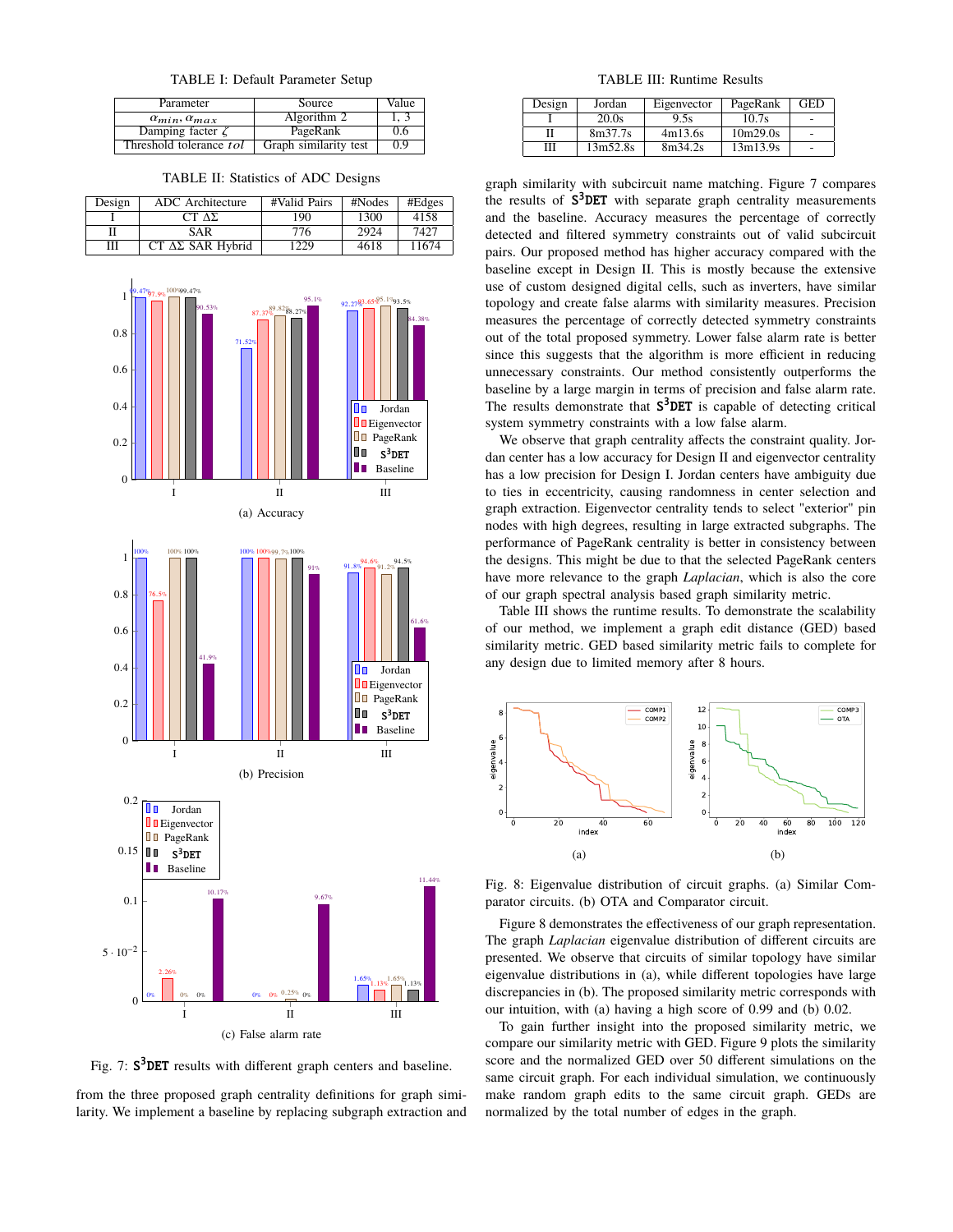TABLE I: Default Parameter Setup

| Parameter                    | Source                | Value |
|------------------------------|-----------------------|-------|
| $\alpha_{min}, \alpha_{max}$ | Algorithm 2           |       |
| Damping facter $\zeta$       | PageRank              | 0.6   |
| Threshold tolerance tol      | Graph similarity test | 0.9   |

TABLE II: Statistics of ADC Designs

| Design | ADC Architecture             | #Valid Pairs | #Nodes | #Edges |
|--------|------------------------------|--------------|--------|--------|
|        | CT A <sub>L</sub>            | 190          | 1300   | 4158   |
|        | SAR                          | 776          | 2924   | 7427   |
| Ш      | $CT \Delta\Sigma$ SAR Hybrid | 1229         | 4618   | 11674  |



Fig. 7:  $S^3$ DET results with different graph centers and baseline.

from the three proposed graph centrality definitions for graph similarity. We implement a baseline by replacing subgraph extraction and

TABLE III: Runtime Results

| Design | Jordan   | Eigenvector | PageRank | GED |
|--------|----------|-------------|----------|-----|
|        | 20.0s    | 9.5s        | 10.7s    |     |
|        | 8m37.7s  | 4m13.6s     | 10m29.0s |     |
| Ш      | 13m52.8s | 8m34.2s     | 13m13.9s |     |

graph similarity with subcircuit name matching. Figure 7 compares the results of  $S^3$ DET with separate graph centrality measurements and the baseline. Accuracy measures the percentage of correctly detected and filtered symmetry constraints out of valid subcircuit pairs. Our proposed method has higher accuracy compared with the baseline except in Design II. This is mostly because the extensive use of custom designed digital cells, such as inverters, have similar topology and create false alarms with similarity measures. Precision measures the percentage of correctly detected symmetry constraints out of the total proposed symmetry. Lower false alarm rate is better since this suggests that the algorithm is more efficient in reducing unnecessary constraints. Our method consistently outperforms the baseline by a large margin in terms of precision and false alarm rate. The results demonstrate that  $S^3$ DET is capable of detecting critical system symmetry constraints with a low false alarm.

We observe that graph centrality affects the constraint quality. Jordan center has a low accuracy for Design II and eigenvector centrality has a low precision for Design I. Jordan centers have ambiguity due to ties in eccentricity, causing randomness in center selection and graph extraction. Eigenvector centrality tends to select "exterior" pin nodes with high degrees, resulting in large extracted subgraphs. The performance of PageRank centrality is better in consistency between the designs. This might be due to that the selected PageRank centers have more relevance to the graph *Laplacian*, which is also the core of our graph spectral analysis based graph similarity metric.

Table III shows the runtime results. To demonstrate the scalability of our method, we implement a graph edit distance (GED) based similarity metric. GED based similarity metric fails to complete for any design due to limited memory after 8 hours.



Fig. 8: Eigenvalue distribution of circuit graphs. (a) Similar Comparator circuits. (b) OTA and Comparator circuit.

Figure 8 demonstrates the effectiveness of our graph representation. The graph *Laplacian* eigenvalue distribution of different circuits are presented. We observe that circuits of similar topology have similar eigenvalue distributions in (a), while different topologies have large discrepancies in (b). The proposed similarity metric corresponds with our intuition, with (a) having a high score of 0.99 and (b) 0.02.

To gain further insight into the proposed similarity metric, we compare our similarity metric with GED. Figure 9 plots the similarity score and the normalized GED over 50 different simulations on the same circuit graph. For each individual simulation, we continuously make random graph edits to the same circuit graph. GEDs are normalized by the total number of edges in the graph.